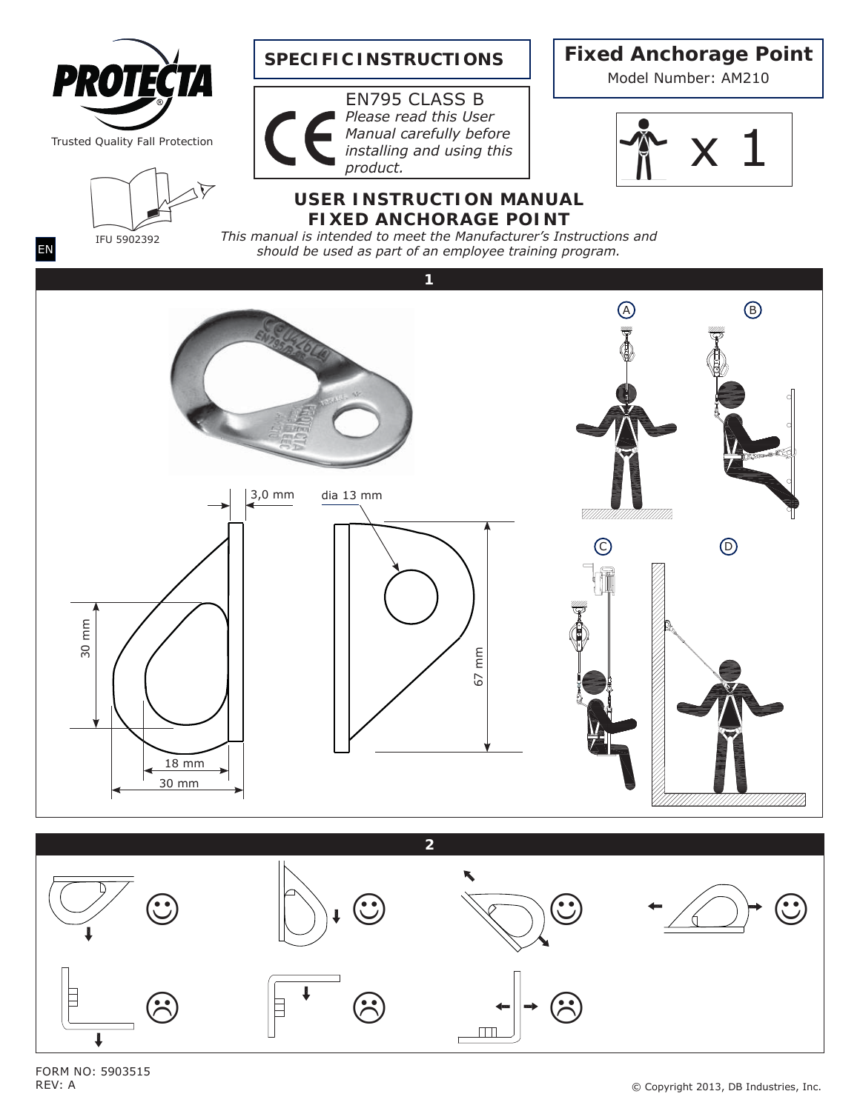

FORM NO: 5903515 REV: A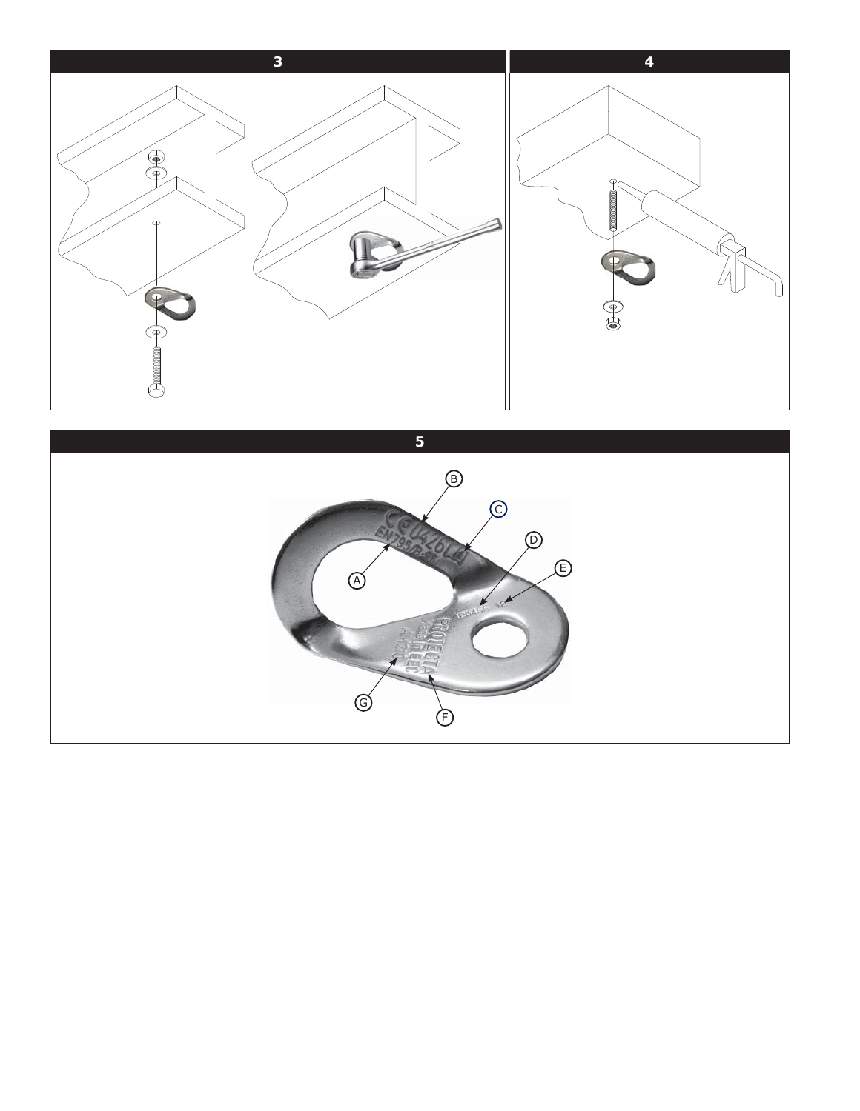

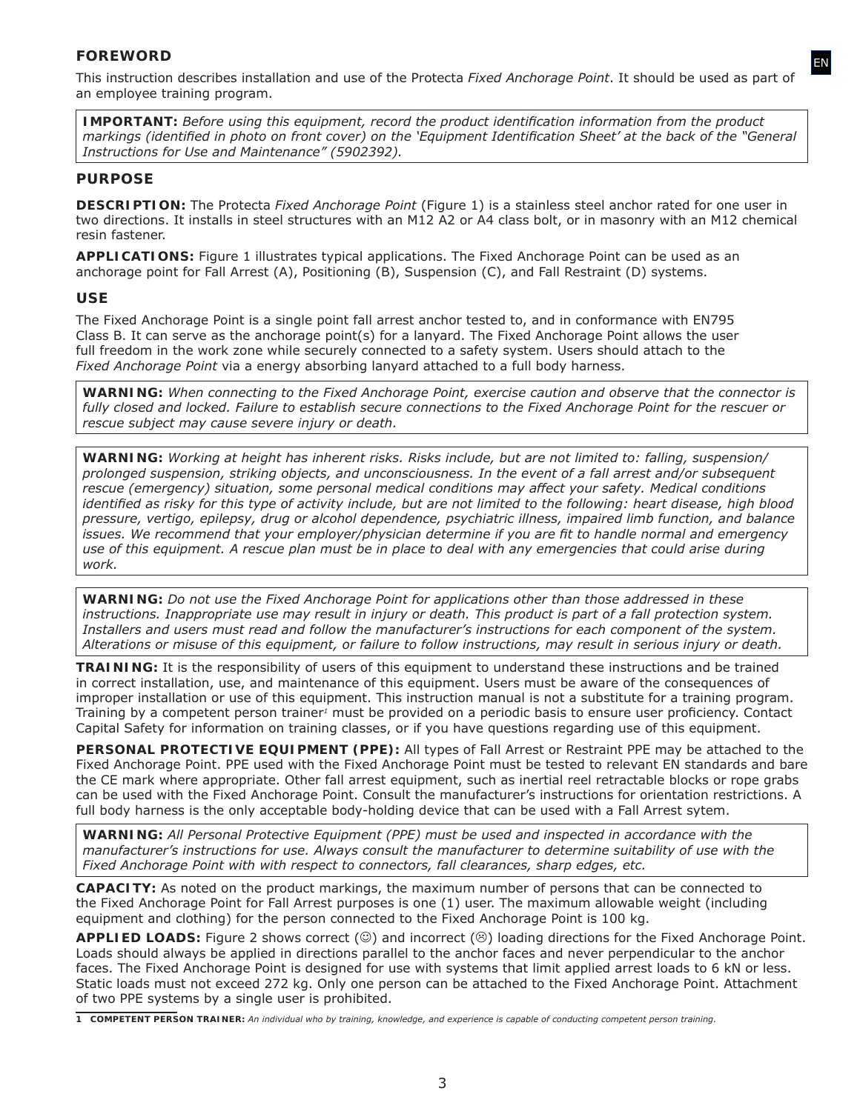# *FOREWORD*

This instruction describes installation and use of the Protecta *Fixed Anchorage Point*. It should be used as part of an employee training program.

EN

*IMPORTANT:* Before using this equipment, record the product identification information from the product *markings (identified in photo on front cover) on the 'Equipment Identification Sheet' at the back of the "General Instructions for Use and Maintenance" (5902392).*

# *PURPOSE*

**DESCRIPTION:** The Protecta *Fixed Anchorage Point* (Figure 1) is a stainless steel anchor rated for one user in two directions. It installs in steel structures with an M12 A2 or A4 class bolt, or in masonry with an M12 chemical resin fastener.

**APPLICATIONS:** Figure 1 illustrates typical applications. The Fixed Anchorage Point can be used as an anchorage point for Fall Arrest (A), Positioning (B), Suspension (C), and Fall Restraint (D) systems.

### *USE*

The Fixed Anchorage Point is a single point fall arrest anchor tested to, and in conformance with EN795 Class B. It can serve as the anchorage point(s) for a lanyard. The Fixed Anchorage Point allows the user full freedom in the work zone while securely connected to a safety system. Users should attach to the *Fixed Anchorage Point* via a energy absorbing lanyard attached to a full body harness.

*WARNING: When connecting to the Fixed Anchorage Point, exercise caution and observe that the connector is*  fully closed and locked. Failure to establish secure connections to the Fixed Anchorage Point for the rescuer or *rescue subject may cause severe injury or death.*

*WARNING: Working at height has inherent risks. Risks include, but are not limited to: falling, suspension/ prolonged suspension, striking objects, and unconsciousness. In the event of a fall arrest and/or subsequent rescue (emergency) situation, some personal medical conditions may aff ect your safety. Medical conditions identified as risky for this type of activity include, but are not limited to the following: heart disease, high blood pressure, vertigo, epilepsy, drug or alcohol dependence, psychiatric illness, impaired limb function, and balance issues. We recommend that your employer/physician determine if you are fit to handle normal and emergency use of this equipment. A rescue plan must be in place to deal with any emergencies that could arise during work.*

*WARNING: Do not use the Fixed Anchorage Point for applications other than those addressed in these instructions. Inappropriate use may result in injury or death. This product is part of a fall protection system. Installers and users must read and follow the manufacturer's instructions for each component of the system. Alterations or misuse of this equipment, or failure to follow instructions, may result in serious injury or death.*

**TRAINING:** It is the responsibility of users of this equipment to understand these instructions and be trained in correct installation, use, and maintenance of this equipment. Users must be aware of the consequences of improper installation or use of this equipment. This instruction manual is not a substitute for a training program. Training by a competent person trainer<sup>1</sup> must be provided on a periodic basis to ensure user proficiency. Contact Capital Safety for information on training classes, or if you have questions regarding use of this equipment.

**PERSONAL PROTECTIVE EQUIPMENT (PPE):** All types of Fall Arrest or Restraint PPE may be attached to the Fixed Anchorage Point. PPE used with the Fixed Anchorage Point must be tested to relevant EN standards and bare the CE mark where appropriate. Other fall arrest equipment, such as inertial reel retractable blocks or rope grabs can be used with the Fixed Anchorage Point. Consult the manufacturer's instructions for orientation restrictions. A full body harness is the only acceptable body-holding device that can be used with a Fall Arrest sytem.

*WARNING: All Personal Protective Equipment (PPE) must be used and inspected in accordance with the manufacturer's instructions for use. Always consult the manufacturer to determine suitability of use with the Fixed Anchorage Point with with respect to connectors, fall clearances, sharp edges, etc.*

**CAPACITY:** As noted on the product markings, the maximum number of persons that can be connected to the Fixed Anchorage Point for Fall Arrest purposes is one (1) user. The maximum allowable weight (including equipment and clothing) for the person connected to the Fixed Anchorage Point is 100 kg.

**APPLIED LOADS:** Figure 2 shows correct ( $\circledcirc$ ) and incorrect ( $\circledcirc$ ) loading directions for the Fixed Anchorage Point. Loads should always be applied in directions parallel to the anchor faces and never perpendicular to the anchor faces. The Fixed Anchorage Point is designed for use with systems that limit applied arrest loads to 6 kN or less. Static loads must not exceed 272 kg. Only one person can be attached to the Fixed Anchorage Point. Attachment of two PPE systems by a single user is prohibited.

*<sup>1</sup> COMPETENT PERSON TRAINER: An individual who by training, knowledge, and experience is capable of conducting competent person training.*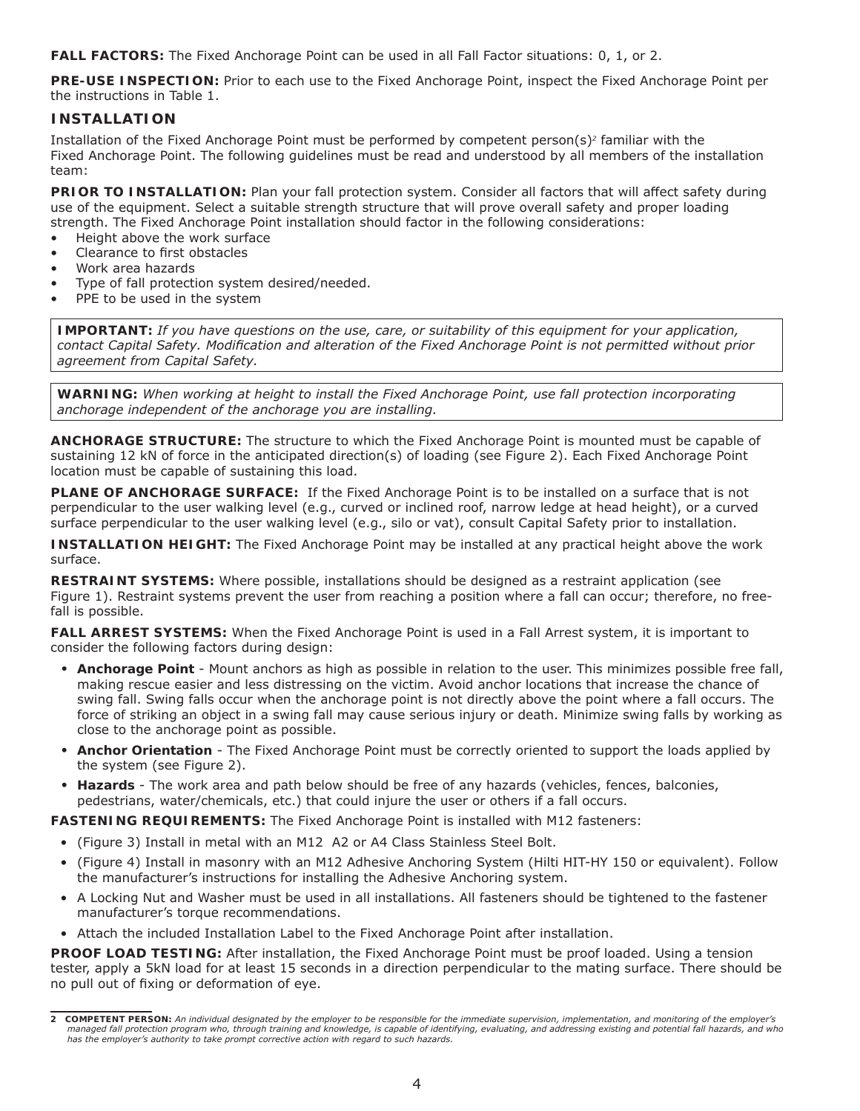**FALL FACTORS:** The Fixed Anchorage Point can be used in all Fall Factor situations: 0, 1, or 2.

**PRE-USE INSPECTION:** Prior to each use to the Fixed Anchorage Point, inspect the Fixed Anchorage Point per the instructions in Table 1.

## *INSTALLATION*

Installation of the Fixed Anchorage Point must be performed by competent person(s)*2* familiar with the Fixed Anchorage Point. The following guidelines must be read and understood by all members of the installation team:

**PRIOR TO INSTALLATION:** Plan your fall protection system. Consider all factors that will affect safety during use of the equipment. Select a suitable strength structure that will prove overall safety and proper loading strength. The Fixed Anchorage Point installation should factor in the following considerations:

- Height above the work surface
- Clearance to first obstacles
- Work area hazards
- Type of fall protection system desired/needed.
- PPE to be used in the system

*IMPORTANT: If you have questions on the use, care, or suitability of this equipment for your application,*  contact Capital Safety. Modification and alteration of the Fixed Anchorage Point is not permitted without prior *agreement from Capital Safety.*

*WARNING: When working at height to install the Fixed Anchorage Point, use fall protection incorporating anchorage independent of the anchorage you are installing.*

**ANCHORAGE STRUCTURE:** The structure to which the Fixed Anchorage Point is mounted must be capable of sustaining 12 kN of force in the anticipated direction(s) of loading (see Figure 2). Each Fixed Anchorage Point location must be capable of sustaining this load.

**PLANE OF ANCHORAGE SURFACE:** If the Fixed Anchorage Point is to be installed on a surface that is not perpendicular to the user walking level (e.g., curved or inclined roof, narrow ledge at head height), or a curved surface perpendicular to the user walking level (e.g., silo or vat), consult Capital Safety prior to installation.

**INSTALLATION HEIGHT:** The Fixed Anchorage Point may be installed at any practical height above the work surface.

**RESTRAINT SYSTEMS:** Where possible, installations should be designed as a restraint application (see Figure 1). Restraint systems prevent the user from reaching a position where a fall can occur; therefore, no freefall is possible.

**FALL ARREST SYSTEMS:** When the Fixed Anchorage Point is used in a Fall Arrest system, it is important to consider the following factors during design:

- **Anchorage Point**  Mount anchors as high as possible in relation to the user. This minimizes possible free fall, making rescue easier and less distressing on the victim. Avoid anchor locations that increase the chance of swing fall. Swing falls occur when the anchorage point is not directly above the point where a fall occurs. The force of striking an object in a swing fall may cause serious injury or death. Minimize swing falls by working as close to the anchorage point as possible.
- **Anchor Orientation** The Fixed Anchorage Point must be correctly oriented to support the loads applied by the system (see Figure 2).
- **Hazards** The work area and path below should be free of any hazards (vehicles, fences, balconies, pedestrians, water/chemicals, etc.) that could injure the user or others if a fall occurs.

**FASTENING REQUIREMENTS:** The Fixed Anchorage Point is installed with M12 fasteners:

- (Figure 3) Install in metal with an M12 A2 or A4 Class Stainless Steel Bolt.
- (Figure 4) Install in masonry with an M12 Adhesive Anchoring System (Hilti HIT-HY 150 or equivalent). Follow the manufacturer's instructions for installing the Adhesive Anchoring system.
- A Locking Nut and Washer must be used in all installations. All fasteners should be tightened to the fastener manufacturer's torque recommendations.
- Attach the included Installation Label to the Fixed Anchorage Point after installation.

**PROOF LOAD TESTING:** After installation, the Fixed Anchorage Point must be proof loaded. Using a tension tester, apply a 5kN load for at least 15 seconds in a direction perpendicular to the mating surface. There should be no pull out of fixing or deformation of eye.

*<sup>2</sup> COMPETENT PERSON: An individual designated by the employer to be responsible for the immediate supervision, implementation, and monitoring of the employer's managed fall protection program who, through training and knowledge, is capable of identifying, evaluating, and addressing existing and potential fall hazards, and who has the employer's authority to take prompt corrective action with regard to such hazards.*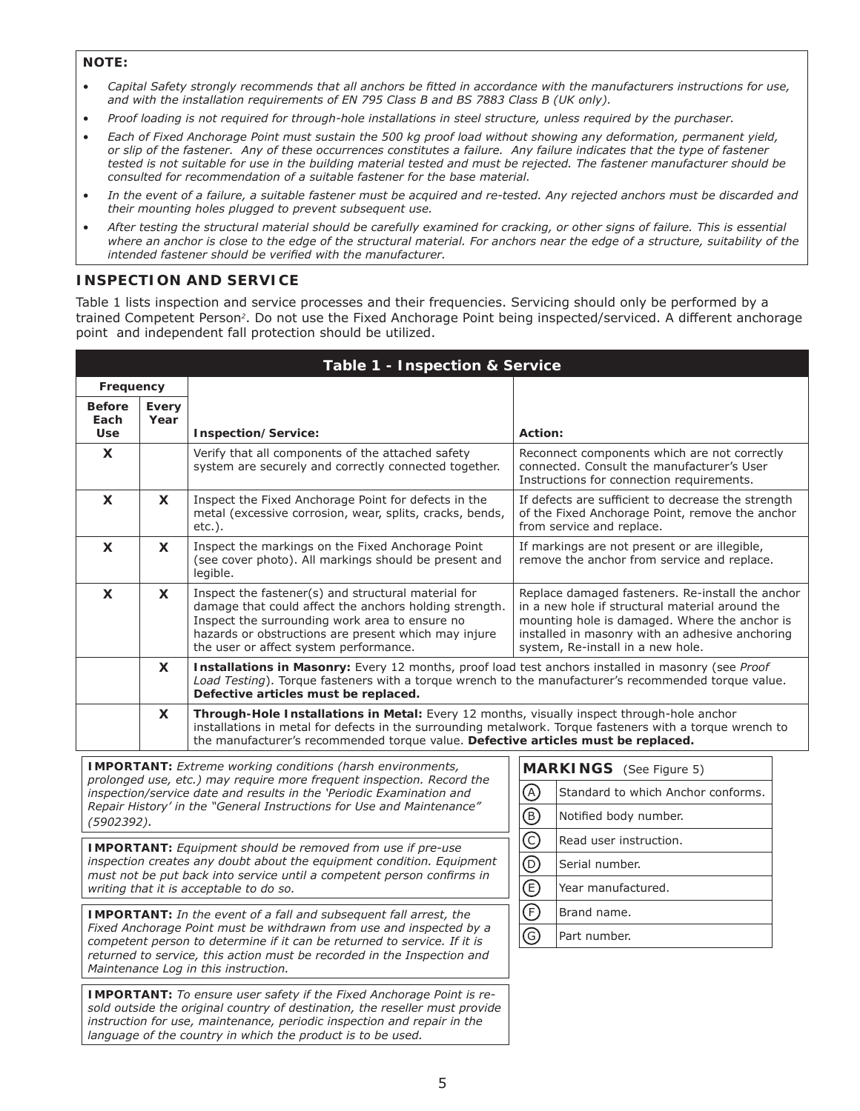### *NOTE:*

- Capital Safety strongly recommends that all anchors be fitted in accordance with the manufacturers instructions for use, *and with the installation requirements of EN 795 Class B and BS 7883 Class B (UK only).*
- *Proof loading is not required for through-hole installations in steel structure, unless required by the purchaser.*
- *Each of Fixed Anchorage Point must sustain the 500 kg proof load without showing any deformation, permanent yield, or slip of the fastener. Any of these occurrences constitutes a failure. Any failure indicates that the type of fastener tested is not suitable for use in the building material tested and must be rejected. The fastener manufacturer should be consulted for recommendation of a suitable fastener for the base material.*
- *In the event of a failure, a suitable fastener must be acquired and re-tested. Any rejected anchors must be discarded and their mounting holes plugged to prevent subsequent use.*
- *After testing the structural material should be carefully examined for cracking, or other signs of failure. This is essential where an anchor is close to the edge of the structural material. For anchors near the edge of a structure, suitability of the*  intended fastener should be verified with the manufacturer.

# *INSPECTION AND SERVICE*

Table 1 lists inspection and service processes and their frequencies. Servicing should only be performed by a trained Competent Person<sup>2</sup>. Do not use the Fixed Anchorage Point being inspected/serviced. A different anchorage point and independent fall protection should be utilized.

| Table 1 - Inspection & Service                                                                                                                                                                                                        |          |                                                                                                                                                                                                                                                                                              |                                                                                                                                                                                                                                              |                |                                    |  |  |  |
|---------------------------------------------------------------------------------------------------------------------------------------------------------------------------------------------------------------------------------------|----------|----------------------------------------------------------------------------------------------------------------------------------------------------------------------------------------------------------------------------------------------------------------------------------------------|----------------------------------------------------------------------------------------------------------------------------------------------------------------------------------------------------------------------------------------------|----------------|------------------------------------|--|--|--|
| Frequency                                                                                                                                                                                                                             |          |                                                                                                                                                                                                                                                                                              |                                                                                                                                                                                                                                              |                |                                    |  |  |  |
| <b>Before</b>                                                                                                                                                                                                                         | Every    |                                                                                                                                                                                                                                                                                              |                                                                                                                                                                                                                                              |                |                                    |  |  |  |
| Each<br><b>Use</b>                                                                                                                                                                                                                    | Year     | Inspection/Service:                                                                                                                                                                                                                                                                          |                                                                                                                                                                                                                                              | Action:        |                                    |  |  |  |
| X                                                                                                                                                                                                                                     |          | Verify that all components of the attached safety<br>system are securely and correctly connected together.                                                                                                                                                                                   | Reconnect components which are not correctly<br>connected. Consult the manufacturer's User<br>Instructions for connection requirements.                                                                                                      |                |                                    |  |  |  |
| X                                                                                                                                                                                                                                     | <b>X</b> | Inspect the Fixed Anchorage Point for defects in the<br>metal (excessive corrosion, wear, splits, cracks, bends,<br>etc.).                                                                                                                                                                   | If defects are sufficient to decrease the strength<br>of the Fixed Anchorage Point, remove the anchor<br>from service and replace.                                                                                                           |                |                                    |  |  |  |
| X                                                                                                                                                                                                                                     | X        | Inspect the markings on the Fixed Anchorage Point<br>(see cover photo). All markings should be present and<br>legible.                                                                                                                                                                       | If markings are not present or are illegible,<br>remove the anchor from service and replace.                                                                                                                                                 |                |                                    |  |  |  |
| X                                                                                                                                                                                                                                     | X        | Inspect the fastener(s) and structural material for<br>damage that could affect the anchors holding strength.<br>Inspect the surrounding work area to ensure no<br>hazards or obstructions are present which may injure<br>the user or affect system performance.                            | Replace damaged fasteners. Re-install the anchor<br>in a new hole if structural material around the<br>mounting hole is damaged. Where the anchor is<br>installed in masonry with an adhesive anchoring<br>system, Re-install in a new hole. |                |                                    |  |  |  |
|                                                                                                                                                                                                                                       | X        | Installations in Masonry: Every 12 months, proof load test anchors installed in masonry (see Proof<br>Load Testing). Torque fasteners with a torque wrench to the manufacturer's recommended torque value.<br>Defective articles must be replaced.                                           |                                                                                                                                                                                                                                              |                |                                    |  |  |  |
|                                                                                                                                                                                                                                       | X        | Through-Hole Installations in Metal: Every 12 months, visually inspect through-hole anchor<br>installations in metal for defects in the surrounding metalwork. Torque fasteners with a torque wrench to<br>the manufacturer's recommended torque value. Defective articles must be replaced. |                                                                                                                                                                                                                                              |                |                                    |  |  |  |
| <b>IMPORTANT:</b> Extreme working conditions (harsh environments,                                                                                                                                                                     |          |                                                                                                                                                                                                                                                                                              |                                                                                                                                                                                                                                              |                | <b>MARKINGS</b> (See Figure 5)     |  |  |  |
|                                                                                                                                                                                                                                       |          | prolonged use, etc.) may require more frequent inspection. Record the<br>inspection/service date and results in the 'Periodic Examination and                                                                                                                                                |                                                                                                                                                                                                                                              | $\circledcirc$ | Standard to which Anchor conforms. |  |  |  |
| (5902392).                                                                                                                                                                                                                            |          | Repair History' in the "General Instructions for Use and Maintenance"                                                                                                                                                                                                                        |                                                                                                                                                                                                                                              | $^\circledR$   | Notified body number.              |  |  |  |
|                                                                                                                                                                                                                                       |          | <b>IMPORTANT:</b> Equipment should be removed from use if pre-use                                                                                                                                                                                                                            |                                                                                                                                                                                                                                              | $\odot$        | Read user instruction.             |  |  |  |
|                                                                                                                                                                                                                                       |          | inspection creates any doubt about the equipment condition. Equipment<br>must not be put back into service until a competent person confirms in                                                                                                                                              |                                                                                                                                                                                                                                              | $\circledcirc$ | Serial number.                     |  |  |  |
|                                                                                                                                                                                                                                       |          | writing that it is acceptable to do so.                                                                                                                                                                                                                                                      |                                                                                                                                                                                                                                              | $\circledcirc$ | Year manufactured.                 |  |  |  |
|                                                                                                                                                                                                                                       |          | <b>IMPORTANT:</b> In the event of a fall and subsequent fall arrest, the                                                                                                                                                                                                                     |                                                                                                                                                                                                                                              | $\bigoplus$    | Brand name.                        |  |  |  |
|                                                                                                                                                                                                                                       |          | Fixed Anchorage Point must be withdrawn from use and inspected by a<br>competent person to determine if it can be returned to service. If it is                                                                                                                                              |                                                                                                                                                                                                                                              | ⊚              | Part number.                       |  |  |  |
|                                                                                                                                                                                                                                       |          | returned to service, this action must be recorded in the Inspection and<br>Maintenance Log in this instruction.                                                                                                                                                                              |                                                                                                                                                                                                                                              |                |                                    |  |  |  |
| <b>IMPORTANT:</b> To ensure user safety if the Fixed Anchorage Point is re-<br>sold outside the original country of destination, the reseller must provide<br>instruction for use, maintenance, periodic inspection and repair in the |          |                                                                                                                                                                                                                                                                                              |                                                                                                                                                                                                                                              |                |                                    |  |  |  |

*language of the country in which the product is to be used.*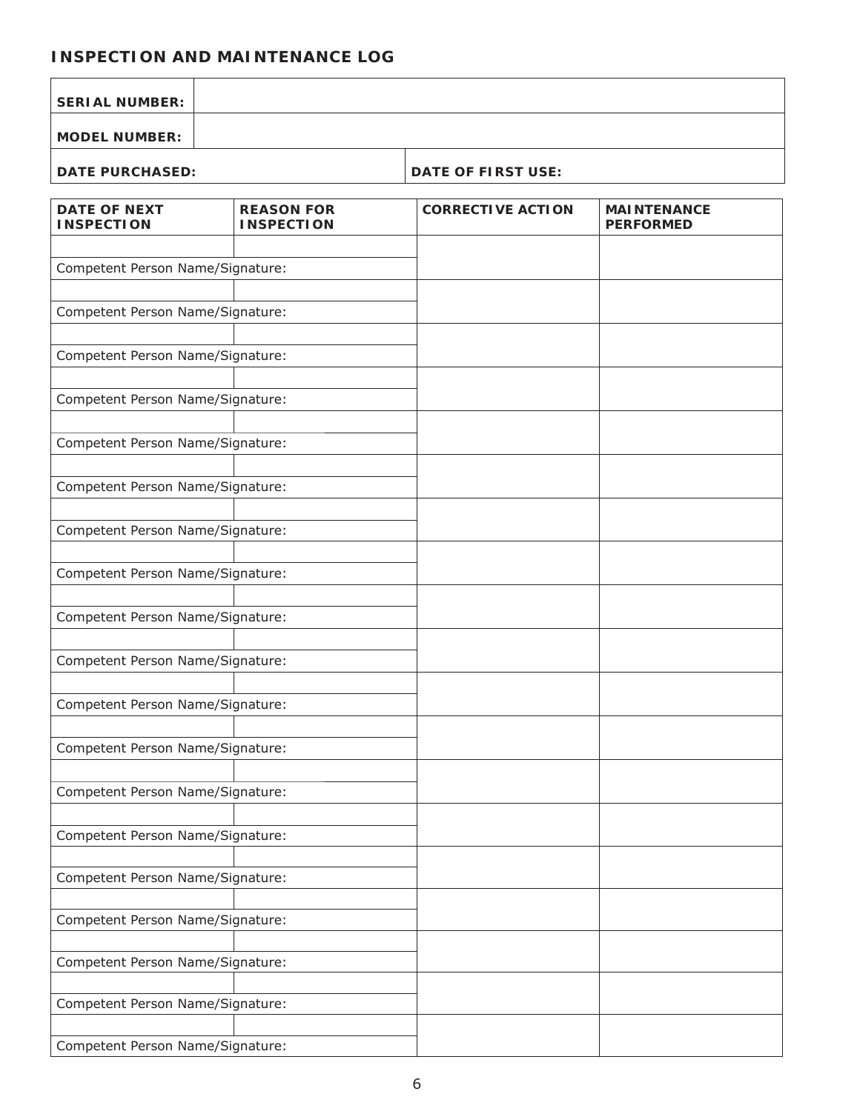# *INSPECTION AND MAINTENANCE LOG*

| <b>SERIAL NUMBER:</b>                    |                                        |                           |                                        |  |  |  |
|------------------------------------------|----------------------------------------|---------------------------|----------------------------------------|--|--|--|
| <b>MODEL NUMBER:</b>                     |                                        |                           |                                        |  |  |  |
| <b>DATE PURCHASED:</b>                   |                                        | <b>DATE OF FIRST USE:</b> |                                        |  |  |  |
| <b>DATE OF NEXT</b><br><b>INSPECTION</b> | <b>REASON FOR</b><br><b>INSPECTION</b> | <b>CORRECTIVE ACTION</b>  | <b>MAINTENANCE</b><br><b>PERFORMED</b> |  |  |  |
| Competent Person Name/Signature:         |                                        |                           |                                        |  |  |  |
| Competent Person Name/Signature:         |                                        |                           |                                        |  |  |  |
| Competent Person Name/Signature:         |                                        |                           |                                        |  |  |  |
| Competent Person Name/Signature:         |                                        |                           |                                        |  |  |  |
| Competent Person Name/Signature:         |                                        |                           |                                        |  |  |  |
| Competent Person Name/Signature:         |                                        |                           |                                        |  |  |  |
| Competent Person Name/Signature:         |                                        |                           |                                        |  |  |  |
| Competent Person Name/Signature:         |                                        |                           |                                        |  |  |  |
| Competent Person Name/Signature:         |                                        |                           |                                        |  |  |  |
| Competent Person Name/Signature:         |                                        |                           |                                        |  |  |  |
| Competent Person Name/Signature:         |                                        |                           |                                        |  |  |  |
| Competent Person Name/Signature:         |                                        |                           |                                        |  |  |  |
| Competent Person Name/Signature:         |                                        |                           |                                        |  |  |  |
| Competent Person Name/Signature:         |                                        |                           |                                        |  |  |  |
| Competent Person Name/Signature:         |                                        |                           |                                        |  |  |  |
| Competent Person Name/Signature:         |                                        |                           |                                        |  |  |  |
| Competent Person Name/Signature:         |                                        |                           |                                        |  |  |  |
| Competent Person Name/Signature:         |                                        |                           |                                        |  |  |  |
| Competent Person Name/Signature:         |                                        |                           |                                        |  |  |  |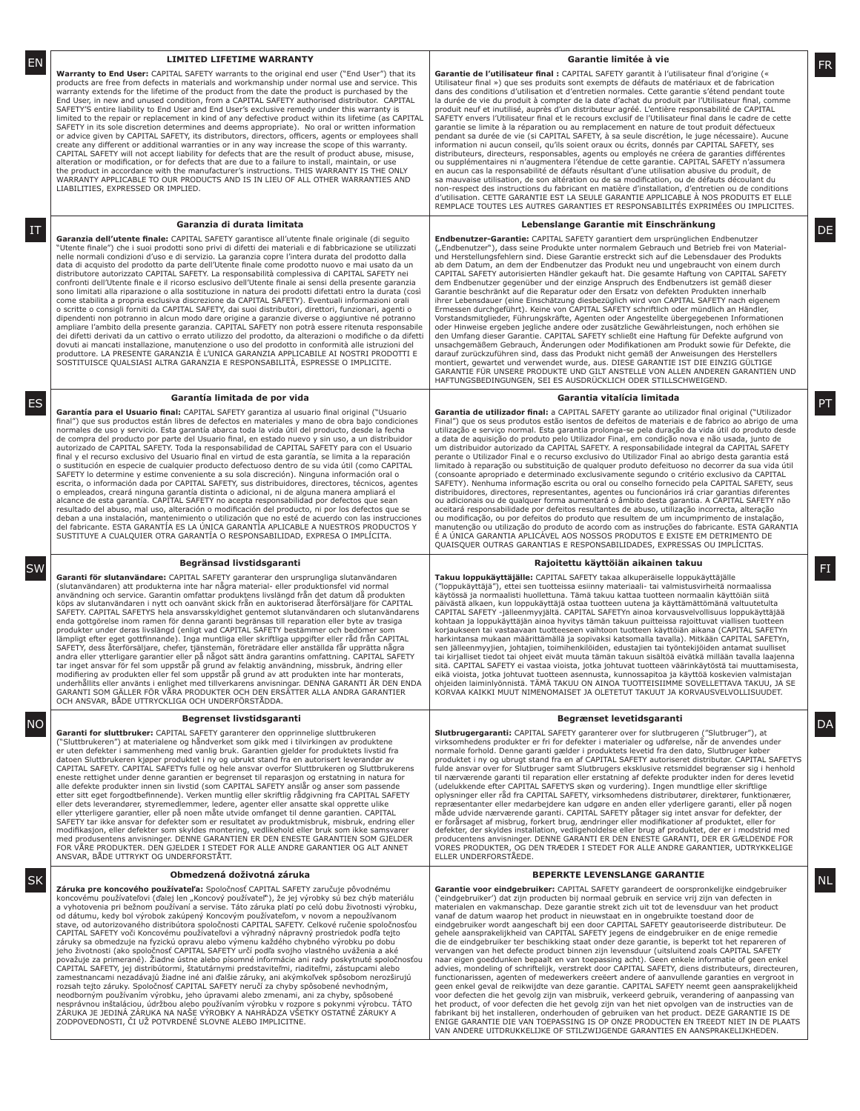### **LIMITED LIFETIME WARRANTY**

products are free from defects in materials and workmanship under normal use and service. This warranty extends for the lifetime of the product from the date the product is purchased by the End User, in new and unused condition, from a CAPITAL SAFETY authorised distributor. CAPITAL SAFETY'S entire liability to End User and End User's exclusive remedy under this warranty is<br>limited to the repair or replacement in kind of any defective product within its lifetime (as CAPITAL<br>SAFETY in its sole discreti or advice given by CAPITAL SAFETY, its distributors, directors, officers, agents or employees shall<br>create any different or additional warranties or in any way increase the scope of this warranty. CAPITAL SAFETY will not accept liability for defects that are the result of product abuse, misuse,<br>alteration or modification, or for defects that are due to a failure to install, maintain, or use<br>the product in accordance WARRANTY APPLICABLE TO OUR PRODUCTS AND IS IN LIEU OF ALL OTHER WARRANTIES AND LIABILITIES, EXPRESSED OR IMPLIED.

#### **Garanzia di durata limitata**

**Garanzia dell'utente finale:** CAPITAL SAFETY garantisce all'utente finale originale (di seguito<br>"Utente finale") che i suoi prodotti sono privi di difetti dei materiali e di fabbricazione se utilizzati<br>nelle normali condi data di acquisto del prodotto da parte dell'Utente finale come prodotto nuovo e mai usato da un<br>distributore autorizzato CAPITAL SAFETY. La responsabilità complessiva di CAPITAL SAFETY nei confronti dell'Utente finale e il ricorso esclusivo dell'Utente finale ai sensi della presente garanzia sono limitati alla riparazione o alla sostituzione in natura dei prodotti difettati entro la durata (così come stabilita a propria esclusiva discrezione da CAPITAL SAFETY). Eventuali informazioni orali o scritte o consigli forniti da CAPITAL SAFETY, dai suoi distributori, direttori, funzionari, agenti o dipendenti non potranno in alcun modo dare origine a garanzie diverse o aggiuntive né potranno ampliare l'ambito della presente garanzia. CAPITAL SAFETY non potrà essere ritenuta responsabile<br>dei difetti derivati da un cattivo o errato utilizzo del prodotto, da alterazioni o modifiche o da difetti<br>dovuti ai mancati produttore. LA PRESENTE GARANZIA È L'UNICA GARANZIA APPLICABILE AI NOSTRI PRODOTTI E SOSTITUISCE QUALSIASI ALTRA GARANZIA E RESPONSABILITÀ, ESPRESSE O IMPLICITE.

#### **Garantía limitada de por vida**

Garantía para el Usuario final: CAPITAL SAFETY garantiza al usuario final original ("Usuario final") que sus productos están libres de defectos en materiales y mano de obra bajo condiciones<br>normales de uso y servicio. Esta garantía abarca toda la vida útil del producto, desde la fecha de compra del producto por parte del Usuario final, en estado nuevo y sin uso, a un distribuidor<br>autorizado de CAPITAL SAFETY. Toda la responsabilidad de CAPITAL SAFETY para con el Usuario final y el recurso exclusivo del Usuario final en virtud de esta garantía, se limita a la reparación<br>o sustitución en especie de cualquier producto defectuoso dentro de su vida útil (como CAPITAL<br>SAFETY lo determine y esti escrita, o información dada por CAPITAL SAFETY, sus distribuidores, directores, técnicos, agentes o empleados, creará ninguna garantía distinta o adicional, ni de alguna manera ampliará el alcance de esta garantía. CAPITAL SAFETY no acepta responsabilidad por defectos que sean resultado del abuso, mal uso, alteración o modificación del producto, ni por los defectos que se<br>deban a una instalación, mantenimiento o utilización que no esté de acuerdo con las instrucciones<br>del fabricante. ESTA GARANT SUSTITUYE A CUALQUIER OTRA GARANTÍA O RESPONSABILIDAD, EXPRESA O IMPLÍCITA.

### **Begränsad livstidsgaranti**

(slutanvändaren) att produkterna inte har några material- eller produktionsfel vid normal<br>användning och service. Garantin omfattar produktens livslängd från det datum då produkten<br>köps av slutanvändaren i nytt och oanvänt SAFETY. CAPITAL SAFETYS hela ansvarsskyldighet gentemot slutanvändaren och slutanvändarens<br>enda gottgörelse inom ramen för denna garanti begränsas till reparation eller byte av trasiga<br>produkter under deras livslängd (enli lämpligt efter eget gottfinnande). Inga muntliga eller skriftliga uppgifter eller råd från CAPITAL<br>SAFETY, dess återförsäljare, chefer, tjänstemän, företrädare eller anställda får upprätta några andra eller ytterligare garantier eller på något sätt ändra garantins omfattning. CAPITAL SAFETY<br>tar inget ansvar för fel som uppstår på grund av felaktig användning, missbruk, ändring eller<br>modifiering av produkten eller underhållits eller använts i enlighet med tillverkarens anvisningar. DENNA GARANTI ÄR DEN ENDA GARANTI SOM GÄLLER FÖR VÅRA PRODUKTER OCH DEN ERSÄTTER ALLA ANDRA GARANTIER OCH ANSVAR, BÅDE UTTRYCKLIGA OCH UNDERFÖRSTÅDDA.

### **Begrenset livstidsgaranti**

**Garanti for sluttbruker:** CAPITAL SAFETY garanterer den opprinnelige sluttbrukeren ("Sluttbrukeren") at materialene og håndverket som gikk med i tilvirkingen av produktene<br>er uten defekter i sammenheng med vanlig bruk. Garantien gjelder for produktets livstid fra<br>datoen Sluttbrukeren kjøper produktet i n alle defekte produkter innen sin livstid (som CAPITAL SAFETY anslår og anser som passende etter sitt eget forgodtbefinnende). Verken muntlig eller skriftlig rådgivning fra CAPITAL SAFETY<br>eller dets leverandører, styremedlemmer, ledere, agenter eller ansatte skal opprette ulike<br>eller ytterligere garantier, eller SAFETY tar ikke ansvar for defekter som er resultatet av produktmisbruk, misbruk, endring eller modifikasjon, eller defekter som skyldes montering, vedlikehold eller bruk som ikke samsvarer<br>med produsentens anvisninger. DENNE GARANTIEN ER DEN ENESTE GARANTIEN SOM GJELDER<br>FOR VÅRE PRODUKTER. DEN GJELDER I STEDET FOR A

#### **Obmedzená doživotná záruka**

**Záruka pre koncového používateľa:** Spoločnosť CAPITAL SAFETY zaručuje pôvodnému koncovému používateľovi (ďalej len "Koncový používateľ"), že jej výrobky sú bez chýb materiálu<br>a vyhotovenia pri bežnom používaní a servise. Táto záruka platí po celú dobu životnosti výrobku,<br>od dátumu, kedy bol výrobok za stave, od autorizovaného distribútora spoločnosti CAPITAL SAFETY. Celkové ručenie spoločnosťou CAPITAL SAFETY voči Koncovému používateľovi a výhradný nápravný prostriedok podľa tejto záruky sa obmedzuje na fyzickú opravu alebo výmenu každého chybného výrobku po dobu jeho životnosti (ako spoločnosť CAPITAL SAFETY určí podľa svojho vlastného uváženia a aké považuje za primerané). Žiadne ústne alebo písomné informácie ani rady poskytnuté spoločnosťou CAPITAL SAFETY, jej distribútormi, štatutárnymi predstaviteľmi, riaditeľmi, zástupcami alebo<br>zamestnancami nezadávajú žiadne iné ani ďalšie záruky, ani akýmkoľvek spôsobom nerozširujú<br>rozsah tejto záruky. Spoločnosť CAPITA neodborným používaním výrobku, jeho úpravami alebo zmenami, ani za chyby, spôsobené<br>nesprávnou inštaláciou, údržbou alebo používaním výrobku v rozpore s pokynmi výrobcu. TÁTO<br>ZÁRUKA JE JEDINÁ ZÁRUKA NA NAŠE VÝROBKY A NAHRÁ ZODPOVEDNOSTI, ČI UŽ POTVRDENÉ SLOVNE ALEBO IMPLICITNE.

### **Garantie limitée à vie**

**Warranty to End User: CAPITAL SAFETY warrants to the original end user ("End User") that its <b>Carantie de l'utilisateur final : CAPITAL SAFETY garantit à l'utilisateur final d'origine («<br>Warranty to End User: CAPITAL SAFE** Garantie de l'utilisateur final : CAPITAL SAFETY garantit à l'utilisateur final d'origine (« Utilisateur final ») que ses produits sont exempts de défauts de matériaux et de fabrication dans des conditions d'utilisation et d'entretien normales. Cette garantie s'étend pendant toute la durée de vie du produit à compter de la date d'achat du produit par l'Utilisateur fi nal, comme produit neuf et inutilisé, auprès d'un distributeur agréé. L'entière responsabilité de CAPITAL<br>SAFETY envers l'Utilisateur final et le recours exclusif de l'Utilisateur final dans le cadre de cette<br>garantie se limite à la pendant sa durée de vie (si CAPITAL SAFETY, à sa seule discrétion, le juge nécessaire). Aucune<br>information ni aucun conseil, qu'ils soient oraux ou écrits, donnés par CAPITAL SAFETY, ses distributeurs, directeurs, responsables, agents ou employés ne créera de garanties différentes<br>ou supplémentaires ni n'augmentera l'étendue de cette garantie. CAPITAL SAFETY n'assumera<br>en aucun cas la responsabilité de déf sa mauvaise utilisation, de son altération ou de sa modification, ou de défauts découlant du<br>non-respect des instructions du fabricant en matière d'installation, d'entretien ou de conditions d'utilisation. CETTE GARANTIE EST LA SEULE GARANTIE APPLICABLE À NOS PRODUITS ET ELLE REMPLACE TOUTES LES AUTRES GARANTIES ET RESPONSABILITÉS EXPRIMÉES OU IMPLICITES.

#### **Lebenslange Garantie mit Einschränkung**  $\text{I}\text{T}$  and  $\text{I}\text{I}\text{I}$  becomes the contract of  $\text{I}\text{I}\text{I}$  becomes the contract of  $\text{I}\text{I}\text{I}$  becomes the contract of  $\text{I}\text{I}\text{I}$

**Endbenutzer-Garantie:** CAPITAL SAFETY garantiert dem ursprünglichen Endbenutzer ("Endbenutzer"), dass seine Produkte unter normalem Gebrauch und Betrieb frei von Material-<br>und Herstellungsfehlern sind. Diese Garantie erstreckt sich auf die Lebensdauer des Produkts ab dem Datum, an dem der Endbenutzer das Produkt neu und ungebraucht von einem durch<br>CAPITAL SAFETY autorisierten Händler gekauft hat. Die gesamte Haftung von CAPITAL SAFETY dem Endbenutzer gegenüber und der einzige Anspruch des Endbenutzers ist gemäß dieser<br>Garantie beschränkt auf die Reparatur oder den Ersatz von defekten Produkten innerhalb<br>ihrer Lebensdauer (eine Einschätzung diesbezüglich Ermessen durchgeführt). Keine von CAPITAL SAFETY schriftlich oder mündlich an Händler, Vorstandsmitglieder, Führungskräfte, Agenten oder Angestellte übergegebenen Informationen oder Hinweise ergeben jegliche andere oder zusätzliche Gewährleistungen, noch erhöhen sie den Umfang dieser Garantie. CAPITAL SAFETY schließt eine Haftung für Defekte aufgrund von unsachgemäßem Gebrauch, Änderungen oder Modifi kationen am Produkt sowie für Defekte, die darauf zurückzuführen sind, dass das Produkt nicht gemäß der Anweisungen des Herstellers<br>montiert, gewartet und verwendet wurde, aus. DIESE GARANTIE IST DIE EINZIG GÜLTIGE<br>GARANTIE FÜR UNSERE PRODUKTE UND GILT ANSTELLE VON HAFTUNGSBEDINGUNGEN, SEI ES AUSDRÜCKLICH ODER STILLSCHWEIGEND.

#### **Garantia vitalícia limitada**

Garantía para el Usuario final: CAPITAL SAFETY garantiza al usuario final original ("Usuario **de Carantia de utilizador final: a CAPITAL SAFETY garante ao utilizador final original ("Utilizador <b>PT")** a CAPITAL SAFETY gara Final") que os seus produtos estão isentos de defeitos de materiais e de fabrico ao abrigo de uma utilização e serviço normal. Esta garantia prolonga-se pela duração da vida útil do produto desde a data de aquisição do produto pelo Utilizador Final, em condição nova e não usada, junto de um distribuidor autorizado da CAPITAL SAFETY. A responsabilidade integral da CAPITAL SAFETY perante o Utilizador Final e o recurso exclusivo do Utilizador Final ao abrigo desta garantia está limitado à reparação ou substituição de qualquer produto defeituoso no decorrer da sua vida útil (consoante apropriado e determinado exclusivamente segundo o critério exclusivo da CAPITAL SAFETY). Nenhuma informação escrita ou oral ou conselho fornecido pela CAPITAL SAFETY, seus distribuidores, directores, representantes, agentes ou funcionários irá criar garantias diferentes ou adicionais ou de qualquer forma aumentará o âmbito desta garantia. A CAPITAL SAFETY não aceitará responsabilidade por defeitos resultantes de abuso, utilização incorrecta, alteração ou modifi cação, ou por defeitos do produto que resultem de um incumprimento de instalação, manutenção ou utilização do produto de acordo com as instruções do fabricante. ESTA GARANTIA É A ÚNICA GARANTIA APLICÁVEL AOS NOSSOS PRODUTOS E EXISTE EM DETRIMENTO DE QUAISQUER OUTRAS GARANTIAS E RESPONSABILIDADES, EXPRESSAS OU IMPLÍCITAS.

### **Rajoitettu käyttöiän aikainen takuu**

**Garanti för slutanvändare:** CAPITAL SAFETY garanterar den ursprungliga slutanvändaren **FINDA Takuu loppukäyttäjälle:** CAPITAL SAFETY takaa alkuperäiselle loppukäyttäjälle en kunna takuu loppukäyttäjälle (APITAL SAFETY tak **Takuu loppukäyttäjälle:** CAPITAL SAFETY takaa alkuperäiselle loppukäyttäjälle ("loppukäyttäjä"), ettei sen tuotteissa esiinny materiaali- tai valmistusvirheitä normaalissa<br>käytössä ja normaalisti huollettuna. Tämä takuu kattaa tuotteen normaalin käyttöiän siitä<br>päivästä alkaen, kun loppukäyttäjä ost CAPITAL SAFETY -jälleenmyyjältä. CAPITAL SAFETYn ainoa korvausvelvollisuus loppukäyttäjää<br>kohtaan ja loppukäyttäjän ainoa hyvitys tämän takuun puitteissa rajoittuvat viallisen tuotteen<br>korjaukseen tai vastaavaan tuotteesee harkintansa mukaan määrittämällä ja sopivaksi katsomalla tavalla). Mitkään CAPITAL SAFETYn, sen jälleenmyyjien, johtajien, toimihenkilöiden, edustajien tai työntekijöiden antamat suulliset tai kirjalliset tiedot tai ohjeet eivät muuta tämän takuun sisältöä eivätkä millään tavalla laajenna<br>sitä. CAPITAL SAFETY ei vastaa vioista, jotka johtuvat tuotteen väärinkäytöstä tai muuttamisesta,<br>eikä vioista, jotka joh ohjeiden laiminlyönnistä. TÄMÄ TAKUU ON AINOA TUOTTEISIIMME SOVELLETTAVA TAKUU, JA SE KORVAA KAIKKI MUUT NIMENOMAISET JA OLETETUT TAKUUT JA KORVAUSVELVOLLISUUDET.

### **Begrænset levetidsgaranti**

**Slutbrugergaranti:** CAPITAL SAFETY garanterer over for slutbrugeren ("Slutbruger"), at<br>virksomhedens produkter er fri for defekter i materialer og udførelse, når de anvendes under<br>normale forhold. Denne garanti gælder i p fulde ansvar over for Slutbruger samt Slutbrugers eksklusive retsmiddel begrænser sig i henhold til nærværende garanti til reparation eller erstatning af defekte produkter inden for deres levetid (udelukkende efter CAPITAL SAFETYS skøn og vurdering). Ingen mundtlige eller skriftlige<br>oplysninger eller råd fra CAPITAL SAFETY, virksomhedens distributører, direktører, funktionærer,<br>repræsentanter eller radd fra CAPITAL NO PERSONAL DESIGNATION DE L'ANNO DE L'ANNO DE L'ANNO DE L'ANNO DE L'ANNO DE L'ANNO DE L'ANNO DE L'ANNO DE L'A<br>DAN DE L'ANNO DE L'ANNO DE L'ANNO DE L'ANNO DE L'ANNO DE L'ANNO DE L'ANNO DE L'ANNO DE L'ANNO DE L'ANNO DE L'A

### **BEPERKTE LEVENSLANGE GARANTIE**

**GARANTIE SAFETY EN LIGHER WARANTIE EEVENSLANGE GARANTIE IN DEFERATE LEVENSLANGE GARANTIE IN HETTY GARANTIE IN H<br>Carantie voor eindgebruiker: CAPITAL SAFETY garantie voor eindgebruiker: CAPITAL SAFETY garandeert de oorspro** ('eindgebruiker') dat zijn producten bij normaal gebruik en service vrij zijn van defecten in<br>materialen en vakmanschap. Deze garantie strekt zich uit tot de levensduur van het product<br>vanaf de datum waarop het product in eindgebruiker wordt aangeschaft bij een door CAPITAL SAFETY geautoriseerde distributeur. De gehele aansprakelijkheid van CAPITAL SAFETY jegens de eindgebruiker en de enige remedie die de eindgebruiker ter beschikking staat onder deze garantie, is beperkt tot het repareren of<br>vervangen van het defecte product binnen zijn levensduur (uitsluitend zoals CAPITAL SAFETY<br>naar eigen goeddunken bepaalt en va voor defecten die het gevolg zijn van misbruik, verkeerd gebruik, verandering of aanpassing van<br>het product, of voor defecten die het gevolg zijn van het niet opvolgen van de instructies van de<br>fabrikant bij het installere